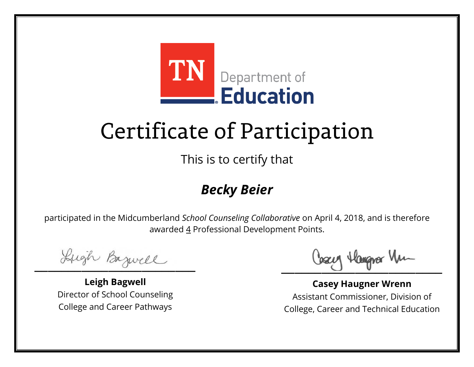

This is to certify that

#### *Becky Beier*

Lugh Bazwell

**Leigh Bagwell** Director of School Counseling College and Career Pathways

Losey Hangra Um

**Casey Haugner Wrenn** Assistant Commissioner, Division of College, Career and Technical Education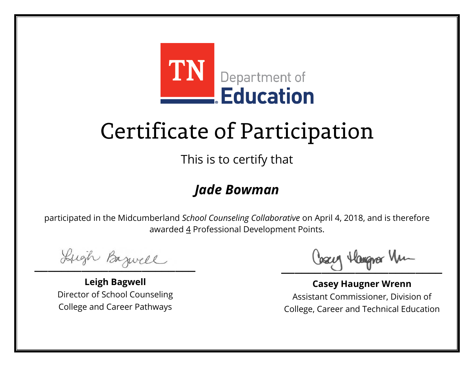

This is to certify that

#### *Jade Bowman*

Lugh Bazwell

**Leigh Bagwell** Director of School Counseling College and Career Pathways

Losey Hangra Um

**Casey Haugner Wrenn** Assistant Commissioner, Division of College, Career and Technical Education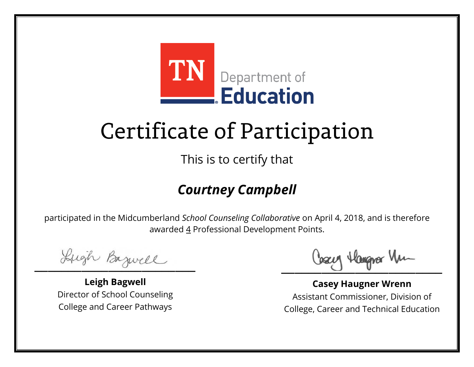

This is to certify that

### *Courtney Campbell*

Lugh Bazwell

**Leigh Bagwell** Director of School Counseling College and Career Pathways

Losey Hangra Um

**Casey Haugner Wrenn** Assistant Commissioner, Division of College, Career and Technical Education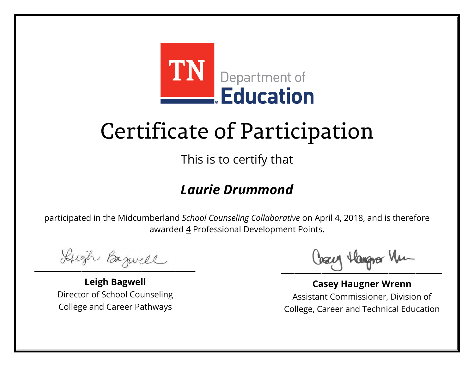

This is to certify that

#### *Laurie Drummond*

Lugh Bazwell

**Leigh Bagwell** Director of School Counseling College and Career Pathways

Losey Hangra Um

**Casey Haugner Wrenn** Assistant Commissioner, Division of College, Career and Technical Education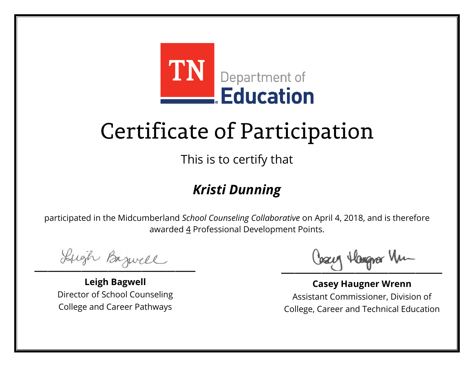

This is to certify that

### *Kristi Dunning*

Lugh Bazwell

**Leigh Bagwell** Director of School Counseling College and Career Pathways

Losey Hangra Um

**Casey Haugner Wrenn** Assistant Commissioner, Division of College, Career and Technical Education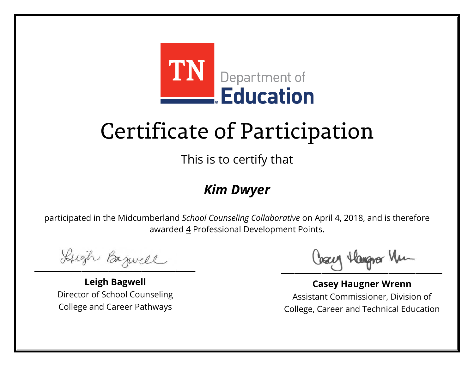

This is to certify that

#### *Kim Dwyer*

Lugh Bazwell

**Leigh Bagwell** Director of School Counseling College and Career Pathways

Losey Hangrer Vm

**Casey Haugner Wrenn** Assistant Commissioner, Division of College, Career and Technical Education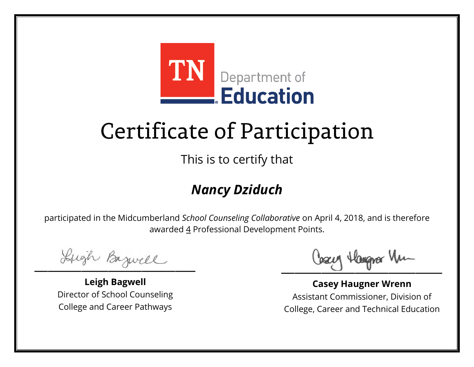

This is to certify that

### *Nancy Dziduch*

Lugh Bazwell

**Leigh Bagwell** Director of School Counseling College and Career Pathways

Losey Hangra Um

**Casey Haugner Wrenn** Assistant Commissioner, Division of College, Career and Technical Education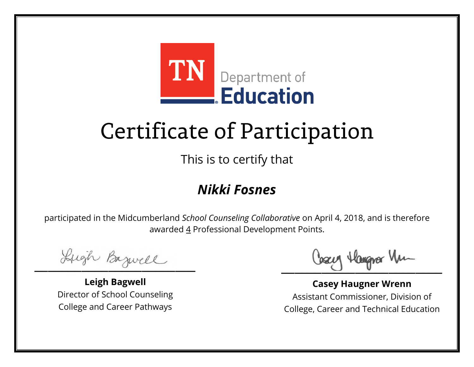

This is to certify that

### *Nikki Fosnes*

Lugh Bazwell

**Leigh Bagwell** Director of School Counseling College and Career Pathways

Losey Hangra Um

**Casey Haugner Wrenn** Assistant Commissioner, Division of College, Career and Technical Education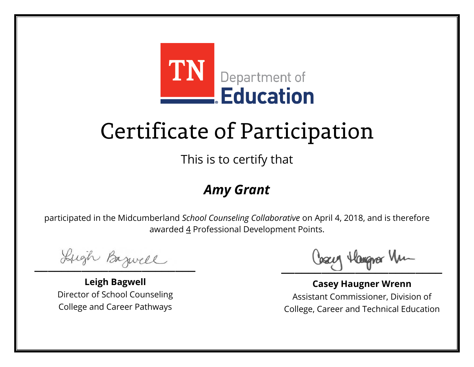

This is to certify that

### *Amy Grant*

Lugh Bazwell

**Leigh Bagwell** Director of School Counseling College and Career Pathways

Losey Hangra Um

**Casey Haugner Wrenn** Assistant Commissioner, Division of College, Career and Technical Education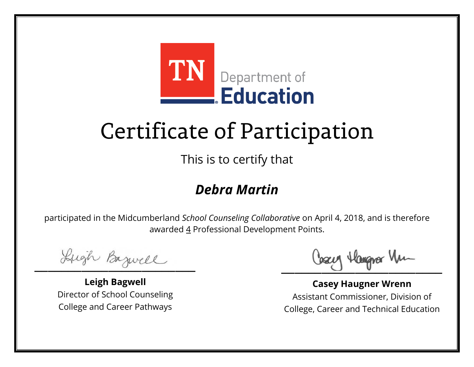

This is to certify that

#### *Debra Martin*

Lugh Bazwell

**Leigh Bagwell** Director of School Counseling College and Career Pathways

Losey Hangra Um

**Casey Haugner Wrenn** Assistant Commissioner, Division of College, Career and Technical Education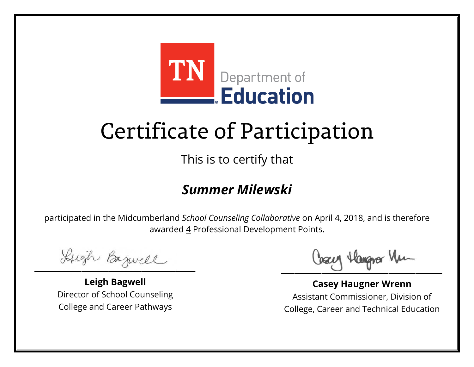

This is to certify that

#### *Summer Milewski*

Lugh Bazwell

**Leigh Bagwell** Director of School Counseling College and Career Pathways

Losey Hangra Um

**Casey Haugner Wrenn** Assistant Commissioner, Division of College, Career and Technical Education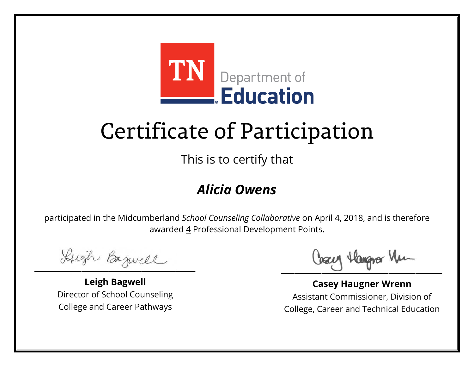

This is to certify that

#### *Alicia Owens*

Lugh Bazwell

**Leigh Bagwell** Director of School Counseling College and Career Pathways

Losey Hangra Um

**Casey Haugner Wrenn** Assistant Commissioner, Division of College, Career and Technical Education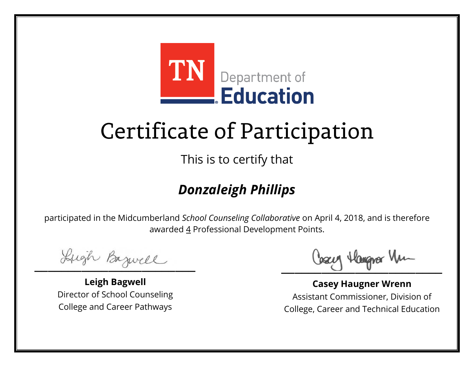

This is to certify that

### *Donzaleigh Phillips*

Lugh Bazwell

**Leigh Bagwell** Director of School Counseling College and Career Pathways

Losey Hangra Um

**Casey Haugner Wrenn** Assistant Commissioner, Division of College, Career and Technical Education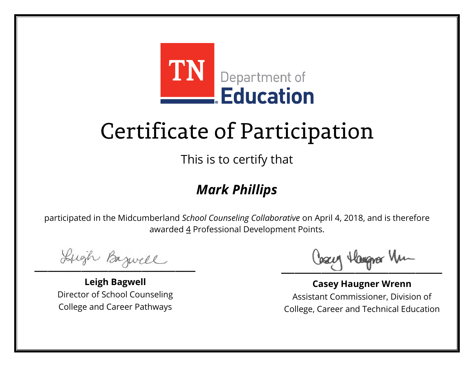

This is to certify that

### *Mark Phillips*

Lugh Bazwell

**Leigh Bagwell** Director of School Counseling College and Career Pathways

Losey Hangra Um

**Casey Haugner Wrenn** Assistant Commissioner, Division of College, Career and Technical Education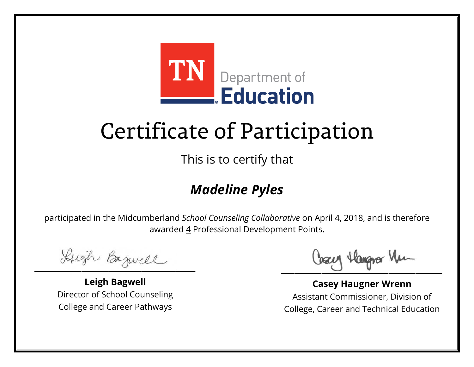

This is to certify that

### *Madeline Pyles*

Lugh Bazwell

**Leigh Bagwell** Director of School Counseling College and Career Pathways

Losey Hangra Um

**Casey Haugner Wrenn** Assistant Commissioner, Division of College, Career and Technical Education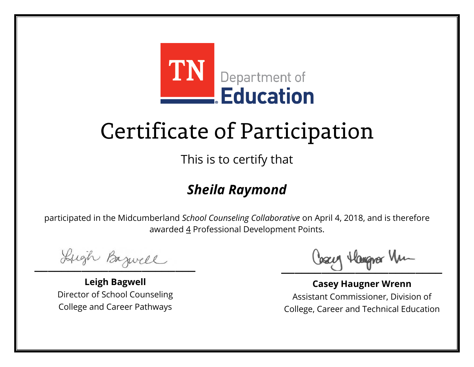

This is to certify that

### *Sheila Raymond*

Lugh Bazwell

**Leigh Bagwell** Director of School Counseling College and Career Pathways

Losey Hangra Um

**Casey Haugner Wrenn** Assistant Commissioner, Division of College, Career and Technical Education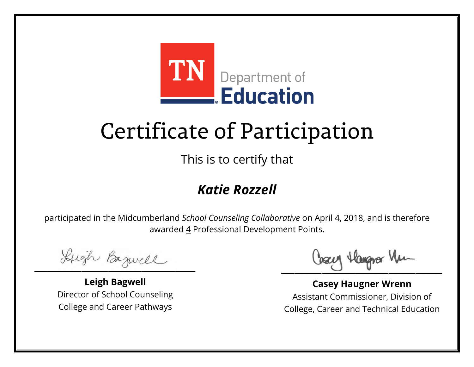

This is to certify that

### *Katie Rozzell*

Lugh Bazwell

**Leigh Bagwell** Director of School Counseling College and Career Pathways

Losey Hangra Um

**Casey Haugner Wrenn** Assistant Commissioner, Division of College, Career and Technical Education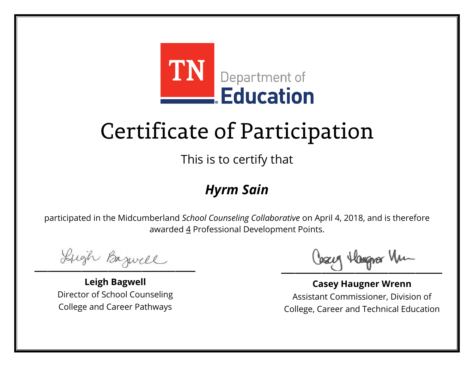

This is to certify that

#### *Hyrm Sain*

Lugh Bazwell

**Leigh Bagwell** Director of School Counseling College and Career Pathways

Losey Hangra Um

**Casey Haugner Wrenn** Assistant Commissioner, Division of College, Career and Technical Education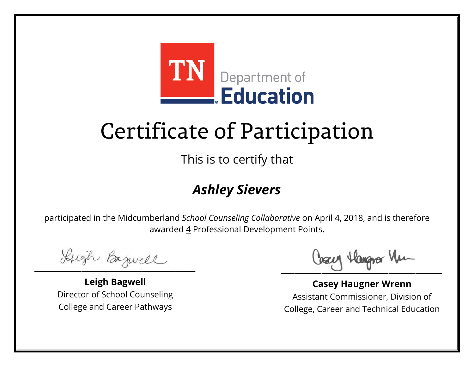

This is to certify that

### *Ashley Sievers*

Lugh Bazwell

**Leigh Bagwell** Director of School Counseling College and Career Pathways

Losey Hangra Um

**Casey Haugner Wrenn** Assistant Commissioner, Division of College, Career and Technical Education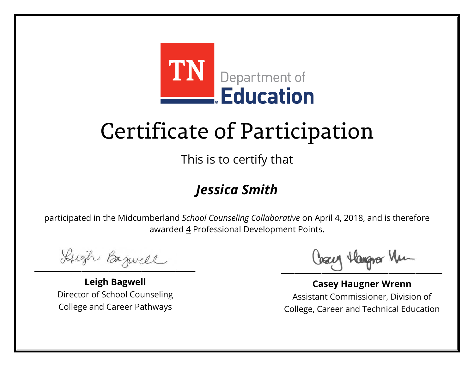

This is to certify that

### *Jessica Smith*

Lugh Bazwell

**Leigh Bagwell** Director of School Counseling College and Career Pathways

Losey Hangra Um

**Casey Haugner Wrenn** Assistant Commissioner, Division of College, Career and Technical Education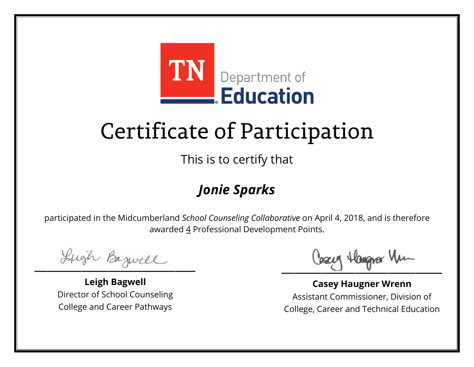

This is to certify that

### *Jonie Sparks*

Lugh Bazwell

**Leigh Bagwell** Director of School Counseling College and Career Pathways

Losey Hangra Um

**Casey Haugner Wrenn** Assistant Commissioner, Division of College, Career and Technical Education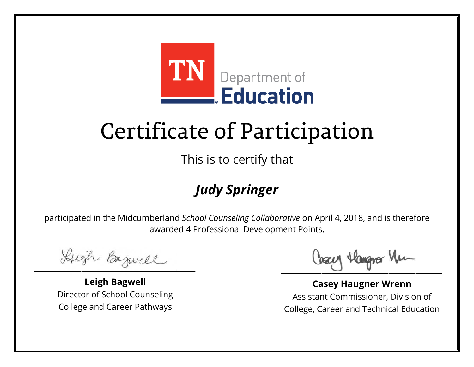

This is to certify that

### *Judy Springer*

Lugh Bazwell

**Leigh Bagwell** Director of School Counseling College and Career Pathways

Losey Hangra Um

**Casey Haugner Wrenn** Assistant Commissioner, Division of College, Career and Technical Education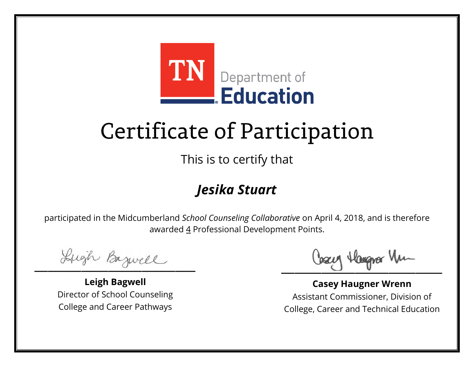

This is to certify that

### *Jesika Stuart*

Lugh Bazwell

**Leigh Bagwell** Director of School Counseling College and Career Pathways

Losey Hangra Um

**Casey Haugner Wrenn** Assistant Commissioner, Division of College, Career and Technical Education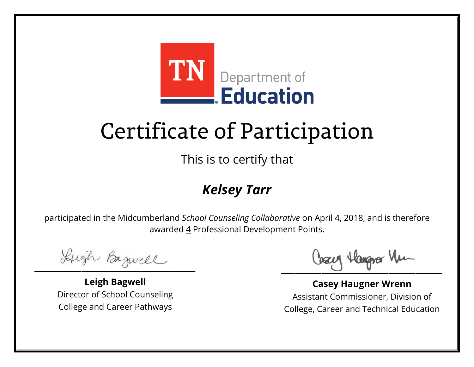

This is to certify that

### *Kelsey Tarr*

Lugh Bazwell

**Leigh Bagwell** Director of School Counseling College and Career Pathways

Losey Hangra Um

**Casey Haugner Wrenn** Assistant Commissioner, Division of College, Career and Technical Education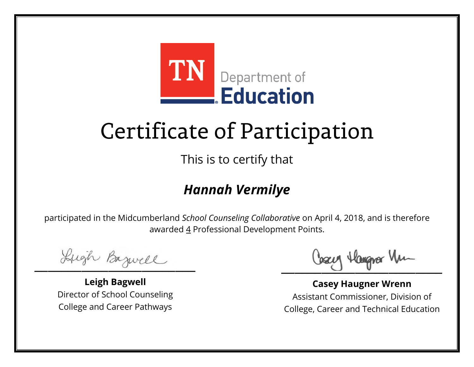

This is to certify that

### *Hannah Vermilye*

Lugh Bazwell

**Leigh Bagwell** Director of School Counseling College and Career Pathways

Losey Hangra Um

**Casey Haugner Wrenn** Assistant Commissioner, Division of College, Career and Technical Education